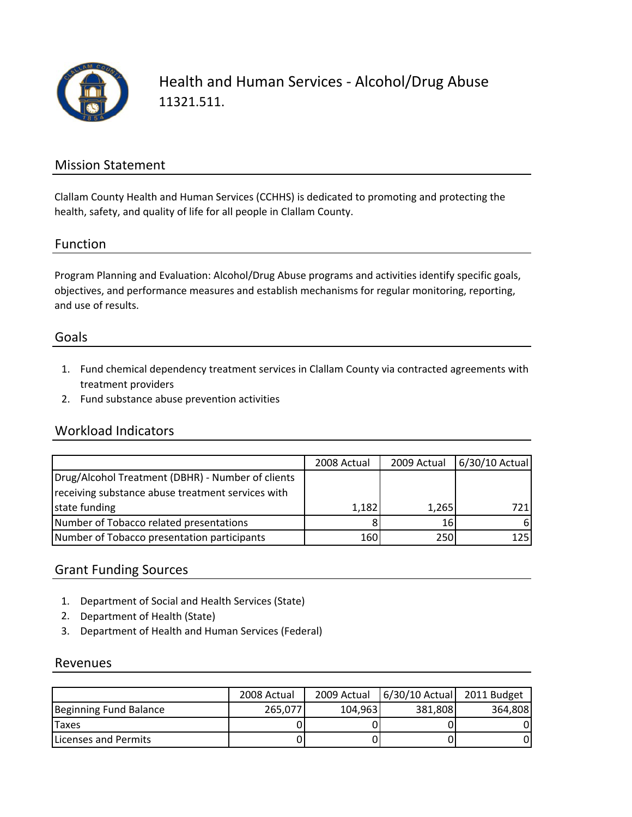

Health and Human Services ‐ Alcohol/Drug Abuse 11321.511.

### Mission Statement

Clallam County Health and Human Services (CCHHS) is dedicated to promoting and protecting the health, safety, and quality of life for all people in Clallam County.

#### Function

Program Planning and Evaluation: Alcohol/Drug Abuse programs and activities identify specific goals, objectives, and performance measures and establish mechanisms for regular monitoring, reporting, and use of results.

### Goals

- 1. Fund chemical dependency treatment services in Clallam County via contracted agreements with treatment providers
- 2. Fund substance abuse prevention activities

### Workload Indicators

|                                                   | 2008 Actual | 2009 Actual | $6/30/10$ Actual |
|---------------------------------------------------|-------------|-------------|------------------|
| Drug/Alcohol Treatment (DBHR) - Number of clients |             |             |                  |
| receiving substance abuse treatment services with |             |             |                  |
| state funding                                     | 1,182       | 1,265       | 721              |
| Number of Tobacco related presentations           |             | 16          | 61               |
| Number of Tobacco presentation participants       | 160         | 250         | 125              |

### Grant Funding Sources

- 1. Department of Social and Health Services (State)
- 2. Department of Health (State)
- 3. Department of Health and Human Services (Federal)

#### Revenues

|                              | 2008 Actual | 2009 Actual | 6/30/10 Actual 2011 Budget |         |
|------------------------------|-------------|-------------|----------------------------|---------|
| Beginning Fund Balance       | 265.077     | 104,963     | 381.808                    | 364,808 |
| <b>Taxes</b>                 |             |             |                            |         |
| <b>ILicenses and Permits</b> |             |             |                            |         |